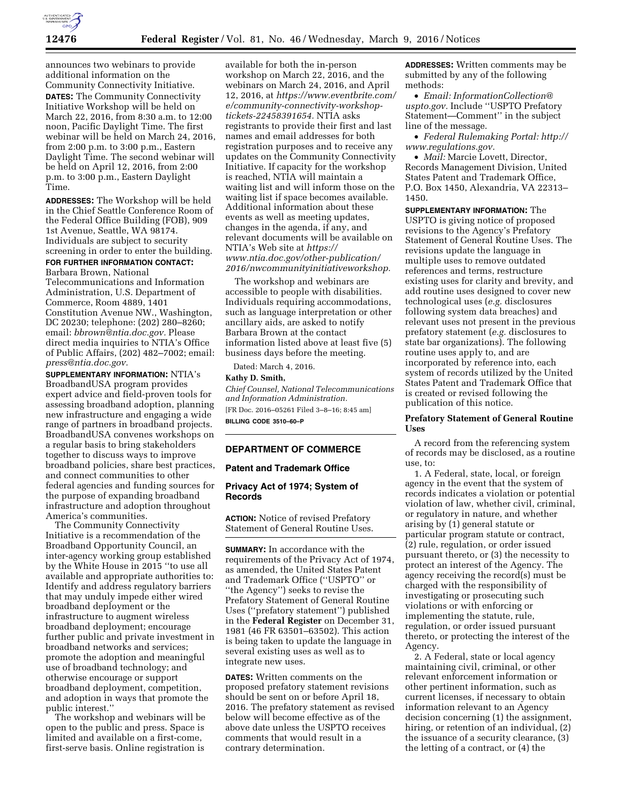

announces two webinars to provide additional information on the Community Connectivity Initiative. **DATES:** The Community Connectivity Initiative Workshop will be held on March 22, 2016, from 8:30 a.m. to 12:00 noon, Pacific Daylight Time. The first webinar will be held on March 24, 2016, from 2:00 p.m. to 3:00 p.m., Eastern Daylight Time. The second webinar will be held on April 12, 2016, from 2:00 p.m. to 3:00 p.m., Eastern Daylight Time.

**ADDRESSES:** The Workshop will be held in the Chief Seattle Conference Room of the Federal Office Building (FOB), 909 1st Avenue, Seattle, WA 98174. Individuals are subject to security screening in order to enter the building.

**FOR FURTHER INFORMATION CONTACT:**  Barbara Brown, National Telecommunications and Information Administration, U.S. Department of Commerce, Room 4889, 1401 Constitution Avenue NW., Washington, DC 20230; telephone: (202) 280–8260; email: *[bbrown@ntia.doc.gov.](mailto:bbrown@ntia.doc.gov)* Please direct media inquiries to NTIA's Office of Public Affairs, (202) 482–7002; email: *[press@ntia.doc.gov.](mailto:press@ntia.doc.gov)* 

**SUPPLEMENTARY INFORMATION:** NTIA's BroadbandUSA program provides expert advice and field-proven tools for assessing broadband adoption, planning new infrastructure and engaging a wide range of partners in broadband projects. BroadbandUSA convenes workshops on a regular basis to bring stakeholders together to discuss ways to improve broadband policies, share best practices, and connect communities to other federal agencies and funding sources for the purpose of expanding broadband infrastructure and adoption throughout America's communities.

The Community Connectivity Initiative is a recommendation of the Broadband Opportunity Council, an inter-agency working group established by the White House in 2015 ''to use all available and appropriate authorities to: Identify and address regulatory barriers that may unduly impede either wired broadband deployment or the infrastructure to augment wireless broadband deployment; encourage further public and private investment in broadband networks and services; promote the adoption and meaningful use of broadband technology; and otherwise encourage or support broadband deployment, competition, and adoption in ways that promote the public interest.''

The workshop and webinars will be open to the public and press. Space is limited and available on a first-come, first-serve basis. Online registration is

available for both the in-person workshop on March 22, 2016, and the webinars on March 24, 2016, and April 12, 2016, at *[https://www.eventbrite.com/](https://www.eventbrite.com/e/community-connectivity-workshop-tickets-22458391654)  [e/community-connectivity-workshop](https://www.eventbrite.com/e/community-connectivity-workshop-tickets-22458391654)[tickets-22458391654.](https://www.eventbrite.com/e/community-connectivity-workshop-tickets-22458391654)* NTIA asks registrants to provide their first and last names and email addresses for both registration purposes and to receive any updates on the Community Connectivity Initiative. If capacity for the workshop is reached, NTIA will maintain a waiting list and will inform those on the waiting list if space becomes available. Additional information about these events as well as meeting updates, changes in the agenda, if any, and relevant documents will be available on NTIA's Web site at *[https://](https://www.ntia.doc.gov/other-publication/2016/nwcommunityinitiativeworkshop) [www.ntia.doc.gov/other-publication/](https://www.ntia.doc.gov/other-publication/2016/nwcommunityinitiativeworkshop) [2016/nwcommunityinitiativeworkshop.](https://www.ntia.doc.gov/other-publication/2016/nwcommunityinitiativeworkshop)* 

The workshop and webinars are accessible to people with disabilities. Individuals requiring accommodations, such as language interpretation or other ancillary aids, are asked to notify Barbara Brown at the contact information listed above at least five (5) business days before the meeting.

Dated: March 4, 2016.

## **Kathy D. Smith,**

*Chief Counsel, National Telecommunications and Information Administration.*  [FR Doc. 2016–05261 Filed 3–8–16; 8:45 am] **BILLING CODE 3510–60–P** 

### **DEPARTMENT OF COMMERCE**

# **Patent and Trademark Office**

# **Privacy Act of 1974; System of Records**

**ACTION:** Notice of revised Prefatory Statement of General Routine Uses.

**SUMMARY:** In accordance with the requirements of the Privacy Act of 1974, as amended, the United States Patent and Trademark Office (''USPTO'' or ''the Agency'') seeks to revise the Prefatory Statement of General Routine Uses (''prefatory statement'') published in the **Federal Register** on December 31, 1981 (46 FR 63501–63502). This action is being taken to update the language in several existing uses as well as to integrate new uses.

**DATES:** Written comments on the proposed prefatory statement revisions should be sent on or before April 18, 2016. The prefatory statement as revised below will become effective as of the above date unless the USPTO receives comments that would result in a contrary determination.

**ADDRESSES:** Written comments may be submitted by any of the following methods:

• *Email: [InformationCollection@](mailto:InformationCollection@uspto.gov) [uspto.gov.](mailto:InformationCollection@uspto.gov)* Include ''USPTO Prefatory Statement—Comment'' in the subject line of the message.

• *Federal Rulemaking Portal: [http://](http://www.regulations.gov) [www.regulations.gov.](http://www.regulations.gov)* 

• *Mail:* Marcie Lovett, Director, Records Management Division, United States Patent and Trademark Office, P.O. Box 1450, Alexandria, VA 22313– 1450.

**SUPPLEMENTARY INFORMATION:** The USPTO is giving notice of proposed revisions to the Agency's Prefatory Statement of General Routine Uses. The revisions update the language in multiple uses to remove outdated references and terms, restructure existing uses for clarity and brevity, and add routine uses designed to cover new technological uses (*e.g.* disclosures following system data breaches) and relevant uses not present in the previous prefatory statement (*e.g.* disclosures to state bar organizations). The following routine uses apply to, and are incorporated by reference into, each system of records utilized by the United States Patent and Trademark Office that is created or revised following the publication of this notice.

## **Prefatory Statement of General Routine Uses**

A record from the referencing system of records may be disclosed, as a routine use, to:

1. A Federal, state, local, or foreign agency in the event that the system of records indicates a violation or potential violation of law, whether civil, criminal, or regulatory in nature, and whether arising by (1) general statute or particular program statute or contract, (2) rule, regulation, or order issued pursuant thereto, or (3) the necessity to protect an interest of the Agency. The agency receiving the record(s) must be charged with the responsibility of investigating or prosecuting such violations or with enforcing or implementing the statute, rule, regulation, or order issued pursuant thereto, or protecting the interest of the Agency.

2. A Federal, state or local agency maintaining civil, criminal, or other relevant enforcement information or other pertinent information, such as current licenses, if necessary to obtain information relevant to an Agency decision concerning (1) the assignment, hiring, or retention of an individual, (2) the issuance of a security clearance, (3) the letting of a contract, or (4) the